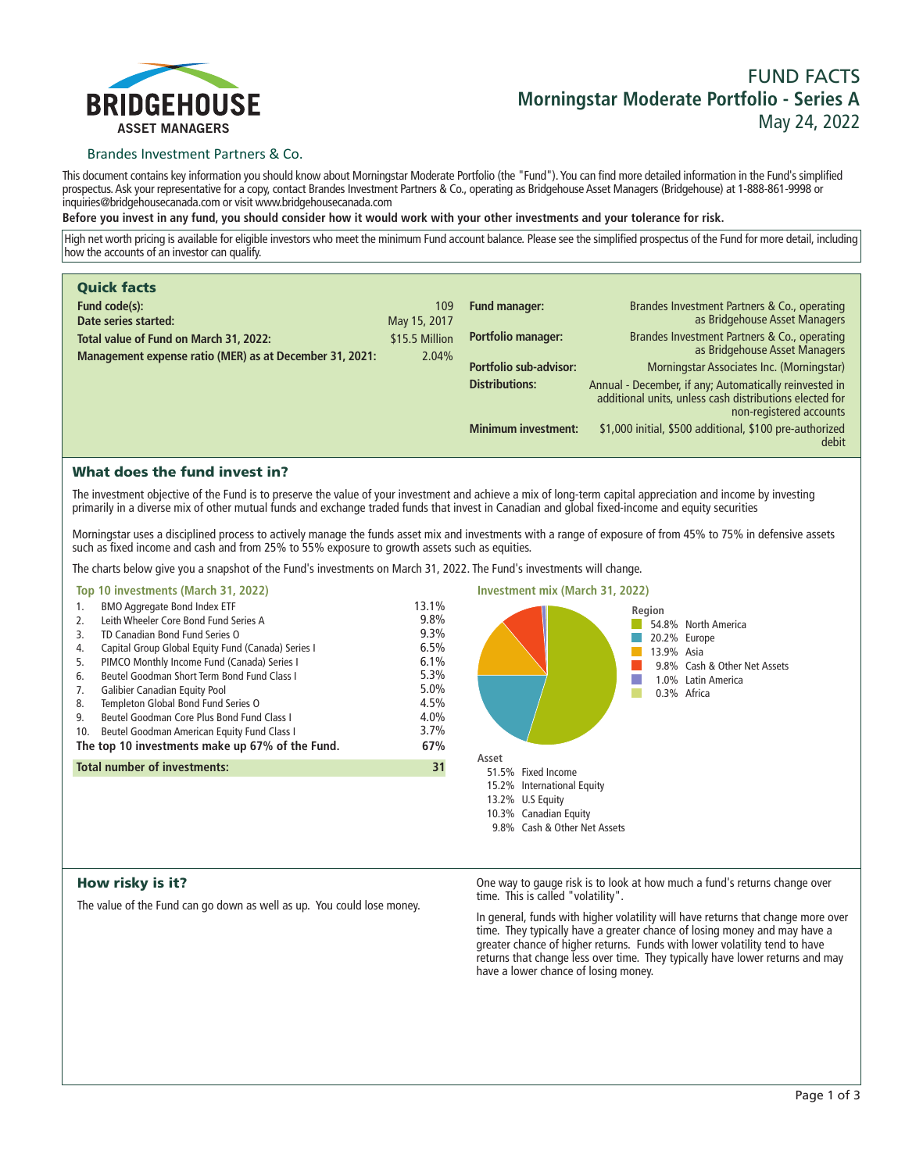

# **FUND FACTS Morningstar Moderate Portfolio - Series A May 24, 2022**

## Brandes Investment Partners & Co.

**This document contains key information you should know about Morningstar Moderate Portfolio (the "Fund"). You can find more detailed information in the Fund's simplified prospectus. Ask your representative for a copy, contact Brandes Investment Partners & Co., operating as Bridgehouse Asset Managers (Bridgehouse) at 1-888-861-9998 or inquiries@bridgehousecanada.com or visit www.bridgehousecanada.com**

**Before you invest in any fund, you should consider how it would work with your other investments and your tolerance for risk.**

**High net worth pricing is available for eligible investors who meet the minimum Fund account balance. Please see the simplified prospectus of the Fund for more detail, including how the accounts of an investor can qualify.**

| <b>Quick facts</b>                                      |                |                            |                                                                                                                                              |
|---------------------------------------------------------|----------------|----------------------------|----------------------------------------------------------------------------------------------------------------------------------------------|
| Fund code(s):                                           | 109            | Fund manager:              | Brandes Investment Partners & Co., operating                                                                                                 |
| Date series started:                                    | May 15, 2017   |                            | as Bridgehouse Asset Managers                                                                                                                |
| Total value of Fund on March 31, 2022:                  | \$15.5 Million | Portfolio manager:         | Brandes Investment Partners & Co., operating<br>as Bridgehouse Asset Managers                                                                |
| Management expense ratio (MER) as at December 31, 2021: | 2.04%          |                            |                                                                                                                                              |
|                                                         |                | Portfolio sub-advisor:     | Morningstar Associates Inc. (Morningstar)                                                                                                    |
|                                                         |                | <b>Distributions:</b>      | Annual - December, if any; Automatically reinvested in<br>additional units, unless cash distributions elected for<br>non-registered accounts |
|                                                         |                | <b>Minimum investment:</b> | \$1,000 initial, \$500 additional, \$100 pre-authorized<br>debit                                                                             |

# What does the fund invest in?

**The investment objective of the Fund is to preserve the value of your investment and achieve a mix of long-term capital appreciation and income by investing primarily in a diverse mix of other mutual funds and exchange traded funds that invest in Canadian and global fixed-income and equity securities**

**Morningstar uses a disciplined process to actively manage the funds asset mix and investments with a range of exposure of from 45% to 75% in defensive assets such as fixed income and cash and from 25% to 55% exposure to growth assets such as equities.**

**The charts below give you a snapshot of the Fund's investments on March 31, 2022. The Fund's investments will change.**

### **Top 10 investments (March 31, 2022)**

| 1.                                                     | <b>BMO Aggregate Bond Index ETF</b>                | 13.1% |
|--------------------------------------------------------|----------------------------------------------------|-------|
| 2.                                                     | Leith Wheeler Core Bond Fund Series A              | 9.8%  |
| 3.                                                     | TD Canadian Bond Fund Series O                     | 9.3%  |
| 4.                                                     | Capital Group Global Equity Fund (Canada) Series I | 6.5%  |
| 5.                                                     | PIMCO Monthly Income Fund (Canada) Series I        | 6.1%  |
| 6.                                                     | Beutel Goodman Short Term Bond Fund Class I        | 5.3%  |
| 7.                                                     | Galibier Canadian Equity Pool                      | 5.0%  |
| 8.                                                     | Templeton Global Bond Fund Series O                | 4.5%  |
| 9.                                                     | Beutel Goodman Core Plus Bond Fund Class L         | 4.0%  |
| 10.                                                    | Beutel Goodman American Equity Fund Class I        | 3.7%  |
| The top 10 investments make up 67% of the Fund.<br>67% |                                                    |       |
| Total number of investments:<br>31                     |                                                    |       |
|                                                        |                                                    |       |



## How risky is it?

**The value of the Fund can go down as well as up. You could lose money.**

**One way to gauge risk is to look at how much a fund's returns change over time. This is called "volatility".**

**In general, funds with higher volatility will have returns that change more over time. They typically have a greater chance of losing money and may have a greater chance of higher returns. Funds with lower volatility tend to have returns that change less over time. They typically have lower returns and may have a lower chance of losing money.**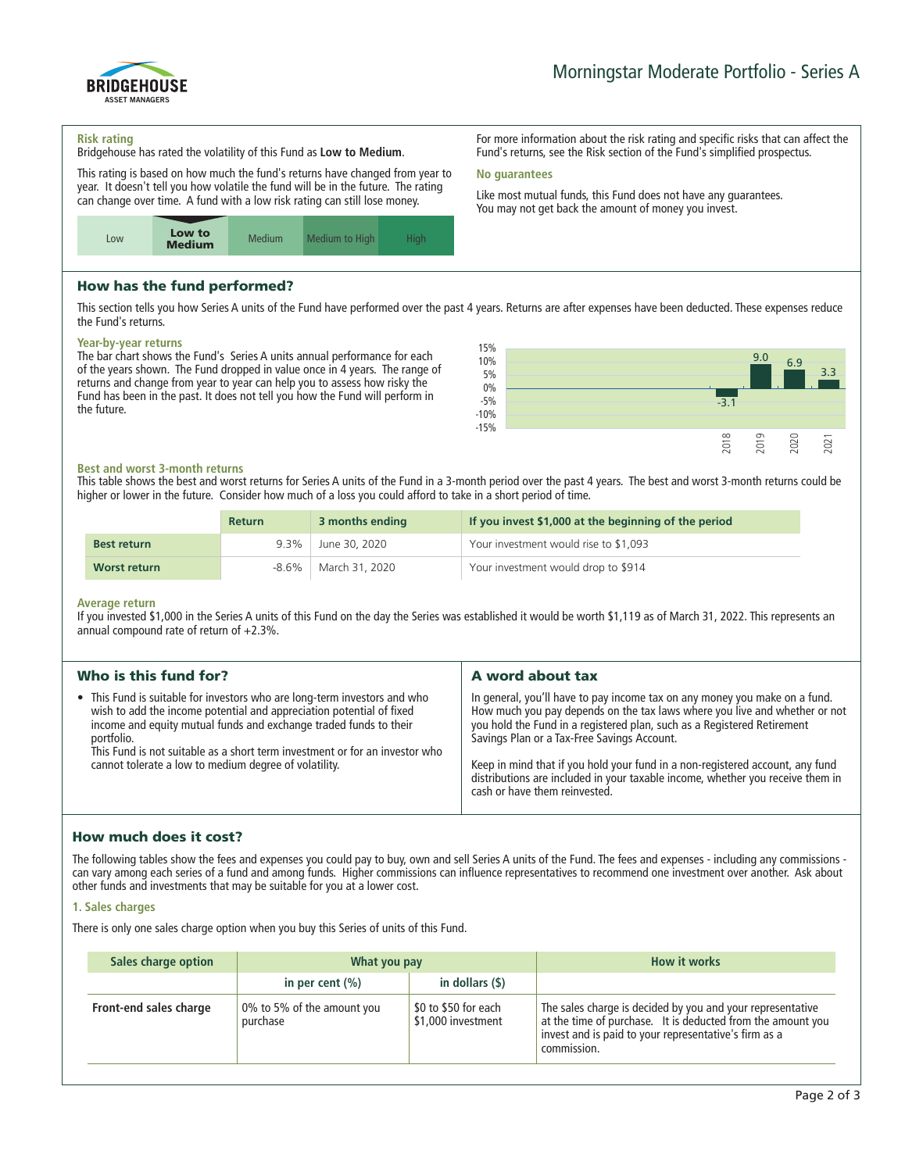

**For more information about the risk rating and specific risks that can affect the Fund's returns, see the Risk section of the Fund's simplified prospectus.**

**Like most mutual funds, this Fund does not have any guarantees. You may not get back the amount of money you invest.**

#### **Risk rating**

ASSET MANAGERS

BRIDGEHOUSE

**Bridgehouse has rated the volatility of this Fund as Low to Medium.**

**This rating is based on how much the fund's returns have changed from year to year. It doesn't tell you how volatile the fund will be in the future. The rating can change over time. A fund with a low risk rating can still lose money.**



## How has the fund performed?

**This section tells you how Series A units of the Fund have performed over the past 4 years. Returns are after expenses have been deducted. These expenses reduce the Fund's returns.**

**No guarantees**

#### **Year-by-year returns**

**The bar chart shows the Fund's Series A units annual performance for each of the years shown. The Fund dropped in value once in 4 years. The range of returns and change from year to year can help you to assess how risky the Fund has been in the past. It does not tell you how the Fund will perform in the future.**



#### **Best and worst 3-month returns**

**This table shows the best and worst returns for Series A units of the Fund in a 3-month period over the past 4 years. The best and worst 3-month returns could be higher or lower in the future. Consider how much of a loss you could afford to take in a short period of time.**

|                    | <b>Return</b> | 3 months ending | If you invest \$1,000 at the beginning of the period |
|--------------------|---------------|-----------------|------------------------------------------------------|
| <b>Best return</b> | 9.3%          | June 30, 2020   | Your investment would rise to \$1,093                |
| Worst return       | -8.6%         | March 31, 2020  | Your investment would drop to \$914                  |

#### **Average return**

**If you invested \$1,000 in the Series A units of this Fund on the day the Series was established it would be worth \$1,119 as of March 31, 2022. This represents an annual compound rate of return of +2.3%.**

| Who is this fund for?                                                                                                                                                                                                                                                                                                                                                        | A word about tax                                                                                                                                                                                                                                                                                                                                                                                                                                                                       |
|------------------------------------------------------------------------------------------------------------------------------------------------------------------------------------------------------------------------------------------------------------------------------------------------------------------------------------------------------------------------------|----------------------------------------------------------------------------------------------------------------------------------------------------------------------------------------------------------------------------------------------------------------------------------------------------------------------------------------------------------------------------------------------------------------------------------------------------------------------------------------|
| • This Fund is suitable for investors who are long-term investors and who<br>wish to add the income potential and appreciation potential of fixed<br>income and equity mutual funds and exchange traded funds to their<br>portfolio.<br>This Fund is not suitable as a short term investment or for an investor who<br>cannot tolerate a low to medium degree of volatility. | In general, you'll have to pay income tax on any money you make on a fund.<br>How much you pay depends on the tax laws where you live and whether or not<br>you hold the Fund in a registered plan, such as a Registered Retirement<br>Savings Plan or a Tax-Free Savings Account.<br>Keep in mind that if you hold your fund in a non-registered account, any fund<br>distributions are included in your taxable income, whether you receive them in<br>cash or have them reinvested. |
|                                                                                                                                                                                                                                                                                                                                                                              |                                                                                                                                                                                                                                                                                                                                                                                                                                                                                        |

## How much does it cost?

**The following tables show the fees and expenses you could pay to buy, own and sell Series A units of the Fund. The fees and expenses - including any commissions can vary among each series of a fund and among funds. Higher commissions can influence representatives to recommend one investment over another. Ask about other funds and investments that may be suitable for you at a lower cost.**

#### **1. Sales charges**

**There is only one sales charge option when you buy this Series of units of this Fund.**

| Sales charge option    | What you pay                           |                                            | <b>How it works</b>                                                                                                                                                                               |
|------------------------|----------------------------------------|--------------------------------------------|---------------------------------------------------------------------------------------------------------------------------------------------------------------------------------------------------|
|                        | in per cent $(\% )$                    | in dollars $($ \$ $)$                      |                                                                                                                                                                                                   |
| Front-end sales charge | 0% to 5% of the amount you<br>purchase | \$0 to \$50 for each<br>\$1,000 investment | The sales charge is decided by you and your representative<br>at the time of purchase. It is deducted from the amount you<br>invest and is paid to your representative's firm as a<br>commission. |